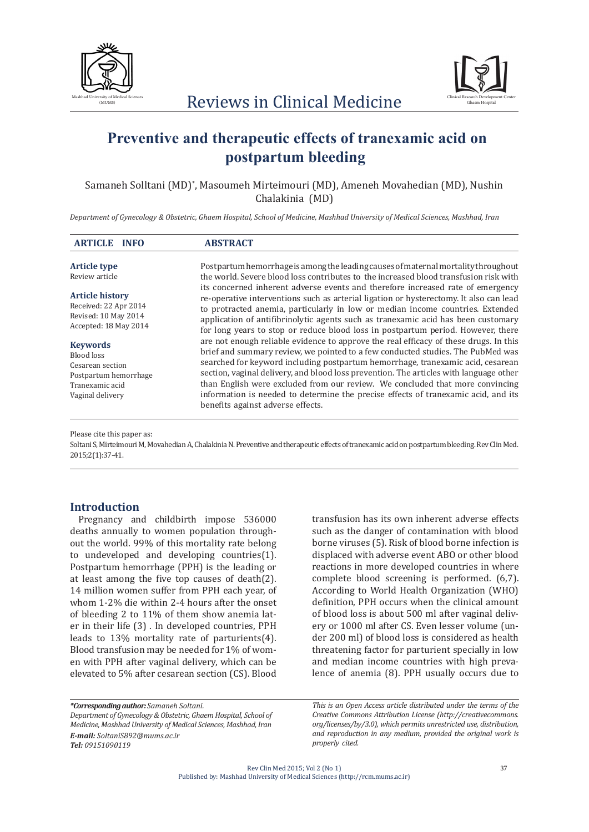



# **Preventive and therapeutic effects of tranexamic acid on postpartum bleeding**

Samaneh Solltani (MD)\* , Masoumeh Mirteimouri (MD), Ameneh Movahedian (MD), Nushin Chalakinia (MD)

*Department of Gynecology & Obstetric, Ghaem Hospital, School of Medicine, Mashhad University of Medical Sciences, Mashhad, Iran*

| <b>ARTICLE</b><br><b>INFO</b>                                                                                     | <b>ABSTRACT</b>                                                                                                                                                                                                                                                                                                                                                                                                                                                                                                                                                   |
|-------------------------------------------------------------------------------------------------------------------|-------------------------------------------------------------------------------------------------------------------------------------------------------------------------------------------------------------------------------------------------------------------------------------------------------------------------------------------------------------------------------------------------------------------------------------------------------------------------------------------------------------------------------------------------------------------|
| <b>Article type</b><br>Review article                                                                             | Postpartum hemorrhage is among the leading causes of maternal mortality throughout<br>the world. Severe blood loss contributes to the increased blood transfusion risk with                                                                                                                                                                                                                                                                                                                                                                                       |
| <b>Article history</b><br>Received: 22 Apr 2014<br>Revised: 10 May 2014<br>Accepted: 18 May 2014                  | its concerned inherent adverse events and therefore increased rate of emergency<br>re-operative interventions such as arterial ligation or hysterectomy. It also can lead<br>to protracted anemia, particularly in low or median income countries. Extended<br>application of antifibrinolytic agents such as tranexamic acid has been customary<br>for long years to stop or reduce blood loss in postpartum period. However, there                                                                                                                              |
| <b>Keywords</b><br>Blood loss<br>Cesarean section<br>Postpartum hemorrhage<br>Tranexamic acid<br>Vaginal delivery | are not enough reliable evidence to approve the real efficacy of these drugs. In this<br>brief and summary review, we pointed to a few conducted studies. The PubMed was<br>searched for keyword including postpartum hemorrhage, tranexamic acid, cesarean<br>section, vaginal delivery, and blood loss prevention. The articles with language other<br>than English were excluded from our review. We concluded that more convincing<br>information is needed to determine the precise effects of tranexamic acid, and its<br>benefits against adverse effects. |

Please cite this paper as:

Soltani S, Mirteimouri M, Movahedian A, Chalakinia N. Preventive and therapeutic effects of tranexamic acid on postpartum bleeding. Rev Clin Med. 2015;2(1):37-41.

## **Introduction**

Pregnancy and childbirth impose 536000 deaths annually to women population throughout the world. 99% of this mortality rate belong to undeveloped and developing countries(1). Postpartum hemorrhage (PPH) is the leading or at least among the five top causes of death(2). 14 million women suffer from PPH each year, of whom 1-2% die within 2-4 hours after the onset of bleeding 2 to 11% of them show anemia later in their life (3) . In developed countries, PPH leads to 13% mortality rate of parturients(4). Blood transfusion may be needed for 1% of women with PPH after vaginal delivery, which can be elevated to 5% after cesarean section (CS). Blood

transfusion has its own inherent adverse effects such as the danger of contamination with blood borne viruses (5). Risk of blood borne infection is displaced with adverse event ABO or other blood reactions in more developed countries in where complete blood screening is performed. (6,7). According to World Health Organization (WHO) definition, PPH occurs when the clinical amount of blood loss is about 500 ml after vaginal delivery or 1000 ml after CS. Even lesser volume (under 200 ml) of blood loss is considered as health threatening factor for parturient specially in low and median income countries with high prevalence of anemia (8). PPH usually occurs due to

*\*Corresponding author: Samaneh Soltani. Department of Gynecology & Obstetric, Ghaem Hospital, School of Medicine, Mashhad University of Medical Sciences, Mashhad, Iran E-mail: SoltaniS892@mums.ac.ir Tel: 09151090119*

*This is an Open Access article distributed under the terms of the Creative Commons Attribution License (http://creativecommons. org/licenses/by/3.0), which permits unrestricted use, distribution, and reproduction in any medium, provided the original work is properly cited.*

Rev Clin Med 2015; Vol 2 (No 1) Published by: Mashhad University of Medical Sciences (http://rcm.mums.ac.ir)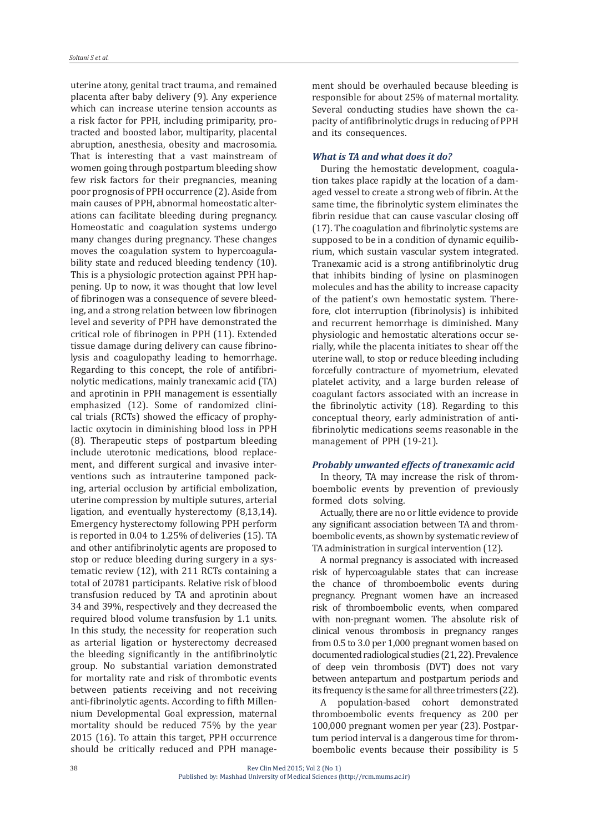uterine atony, genital tract trauma, and remained placenta after baby delivery (9). Any experience which can increase uterine tension accounts as a risk factor for PPH, including primiparity, protracted and boosted labor, multiparity, placental abruption, anesthesia, obesity and macrosomia. That is interesting that a vast mainstream of women going through postpartum bleeding show few risk factors for their pregnancies, meaning poor prognosis of PPH occurrence (2). Aside from main causes of PPH, abnormal homeostatic alterations can facilitate bleeding during pregnancy. Homeostatic and coagulation systems undergo many changes during pregnancy. These changes moves the coagulation system to hypercoagulability state and reduced bleeding tendency (10). This is a physiologic protection against PPH happening. Up to now, it was thought that low level of fibrinogen was a consequence of severe bleeding, and a strong relation between low fibrinogen level and severity of PPH have demonstrated the critical role of fibrinogen in PPH (11). Extended tissue damage during delivery can cause fibrinolysis and coagulopathy leading to hemorrhage. Regarding to this concept, the role of antifibrinolytic medications, mainly tranexamic acid (TA) and aprotinin in PPH management is essentially emphasized (12). Some of randomized clinical trials (RCTs) showed the efficacy of prophylactic oxytocin in diminishing blood loss in PPH (8). Therapeutic steps of postpartum bleeding include uterotonic medications, blood replacement, and different surgical and invasive interventions such as intrauterine tamponed packing, arterial occlusion by artificial embolization, uterine compression by multiple sutures, arterial ligation, and eventually hysterectomy (8,13,14). Emergency hysterectomy following PPH perform is reported in 0.04 to 1.25% of deliveries (15). TA and other antifibrinolytic agents are proposed to stop or reduce bleeding during surgery in a systematic review (12), with 211 RCTs containing a total of 20781 participants. Relative risk of blood transfusion reduced by TA and aprotinin about 34 and 39%, respectively and they decreased the required blood volume transfusion by 1.1 units. In this study, the necessity for reoperation such as arterial ligation or hysterectomy decreased the bleeding significantly in the antifibrinolytic group. No substantial variation demonstrated for mortality rate and risk of thrombotic events between patients receiving and not receiving anti-fibrinolytic agents. According to fifth Millennium Developmental Goal expression, maternal mortality should be reduced 75% by the year 2015 (16). To attain this target, PPH occurrence should be critically reduced and PPH management should be overhauled because bleeding is responsible for about 25% of maternal mortality. Several conducting studies have shown the capacity of antifibrinolytic drugs in reducing of PPH and its consequences.

#### *What is TA and what does it do?*

During the hemostatic development, coagulation takes place rapidly at the location of a damaged vessel to create a strong web of fibrin. At the same time, the fibrinolytic system eliminates the fibrin residue that can cause vascular closing off (17). The coagulation and fibrinolytic systems are supposed to be in a condition of dynamic equilibrium, which sustain vascular system integrated. Tranexamic acid is a strong antifibrinolytic drug that inhibits binding of lysine on plasminogen molecules and has the ability to increase capacity of the patient's own hemostatic system. Therefore, clot interruption (fibrinolysis) is inhibited and recurrent hemorrhage is diminished. Many physiologic and hemostatic alterations occur serially, while the placenta initiates to shear off the uterine wall, to stop or reduce bleeding including forcefully contracture of myometrium, elevated platelet activity, and a large burden release of coagulant factors associated with an increase in the fibrinolytic activity (18). Regarding to this conceptual theory, early administration of antifibrinolytic medications seems reasonable in the management of PPH (19-21).

#### *Probably unwanted effects of tranexamic acid*

In theory, TA may increase the risk of thromboembolic events by prevention of previously formed clots solving.

Actually, there are no or little evidence to provide any significant association between TA and thromboembolic events, as shown by systematic review of TA administration in surgical intervention (12).

A normal pregnancy is associated with increased risk of hypercoagulable states that can increase the chance of thromboembolic events during pregnancy. Pregnant women have an increased risk of thromboembolic events, when compared with non-pregnant women. The absolute risk of clinical venous thrombosis in pregnancy ranges from 0.5 to 3.0 per 1,000 pregnant women based on documented radiological studies (21, 22). Prevalence of deep vein thrombosis (DVT) does not vary between antepartum and postpartum periods and its frequency is the same for all three trimesters (22).

A population-based cohort demonstrated thromboembolic events frequency as 200 per 100,000 pregnant women per year (23). Postpartum period interval is a dangerous time for thromboembolic events because their possibility is 5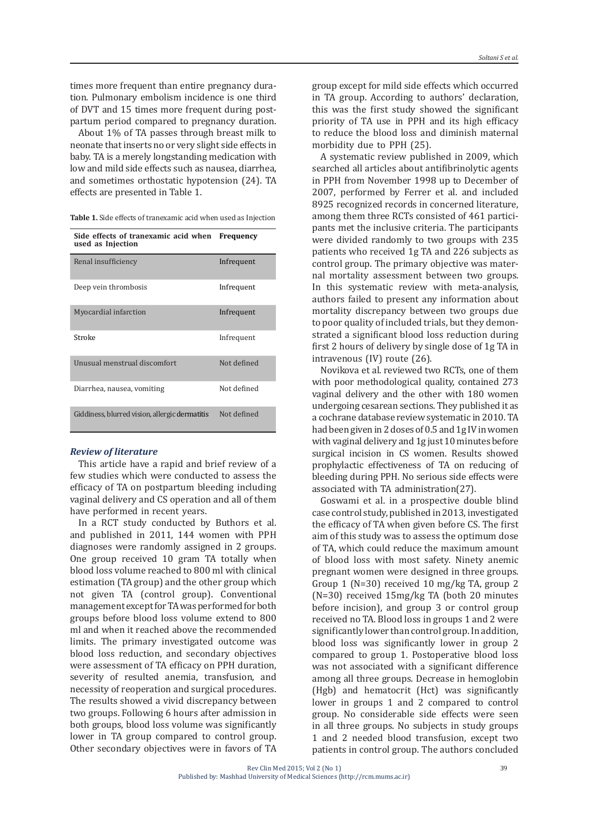times more frequent than entire pregnancy duration. Pulmonary embolism incidence is one third of DVT and 15 times more frequent during postpartum period compared to pregnancy duration.

About 1% of TA passes through breast milk to neonate that inserts no or very slight side effects in baby. TA is a merely longstanding medication with low and mild side effects such as nausea, diarrhea, and sometimes orthostatic hypotension (24). TA effects are presented in Table 1.

| Side effects of tranexamic acid when Frequency<br>used as Injection |             |
|---------------------------------------------------------------------|-------------|
| Renal insufficiency                                                 | Infrequent  |
| Deep vein thrombosis                                                | Infrequent  |
| Myocardial infarction                                               | Infrequent  |
| Stroke                                                              | Infrequent  |
| Unusual menstrual discomfort                                        | Not defined |
| Diarrhea, nausea, vomiting                                          | Not defined |
| Giddiness, blurred vision, allergic dermatitis                      | Not defined |

#### *Review of literature*

This article have a rapid and brief review of a few studies which were conducted to assess the efficacy of TA on postpartum bleeding including vaginal delivery and CS operation and all of them have performed in recent years.

In a RCT study conducted by Buthors et al. and published in 2011, 144 women with PPH diagnoses were randomly assigned in 2 groups. One group received 10 gram TA totally when blood loss volume reached to 800 ml with clinical estimation (TA group) and the other group which not given TA (control group). Conventional management except for TA was performed for both groups before blood loss volume extend to 800 ml and when it reached above the recommended limits. The primary investigated outcome was blood loss reduction, and secondary objectives were assessment of TA efficacy on PPH duration, severity of resulted anemia, transfusion, and necessity of reoperation and surgical procedures. The results showed a vivid discrepancy between two groups. Following 6 hours after admission in both groups, blood loss volume was significantly lower in TA group compared to control group. Other secondary objectives were in favors of TA group except for mild side effects which occurred in TA group. According to authors' declaration, this was the first study showed the significant priority of TA use in PPH and its high efficacy to reduce the blood loss and diminish maternal morbidity due to PPH (25).

A systematic review published in 2009, which searched all articles about antifibrinolytic agents in PPH from November 1998 up to December of 2007, performed by Ferrer et al. and included 8925 recognized records in concerned literature, among them three RCTs consisted of 461 participants met the inclusive criteria. The participants were divided randomly to two groups with 235 patients who received 1g TA and 226 subjects as control group. The primary objective was maternal mortality assessment between two groups. In this systematic review with meta-analysis, authors failed to present any information about mortality discrepancy between two groups due to poor quality of included trials, but they demonstrated a significant blood loss reduction during first 2 hours of delivery by single dose of 1g TA in intravenous (IV) route (26).

Novikova et al. reviewed two RCTs, one of them with poor methodological quality, contained 273 vaginal delivery and the other with 180 women undergoing cesarean sections. They published it as a cochrane database review systematic in 2010. TA had been given in 2 doses of 0.5 and 1g IV in women with vaginal delivery and 1g just 10 minutes before surgical incision in CS women. Results showed prophylactic effectiveness of TA on reducing of bleeding during PPH. No serious side effects were associated with TA administration(27).

Goswami et al. in a prospective double blind case control study, published in 2013, investigated the efficacy of TA when given before CS. The first aim of this study was to assess the optimum dose of TA, which could reduce the maximum amount of blood loss with most safety. Ninety anemic pregnant women were designed in three groups. Group 1 (N=30) received 10 mg/kg TA, group 2 (N=30) received 15mg/kg TA (both 20 minutes before incision), and group 3 or control group received no TA. Blood loss in groups 1 and 2 were significantly lower than control group. In addition, blood loss was significantly lower in group 2 compared to group 1. Postoperative blood loss was not associated with a significant difference among all three groups. Decrease in hemoglobin (Hgb) and hematocrit (Hct) was significantly lower in groups 1 and 2 compared to control group. No considerable side effects were seen in all three groups. No subjects in study groups 1 and 2 needed blood transfusion, except two patients in control group. The authors concluded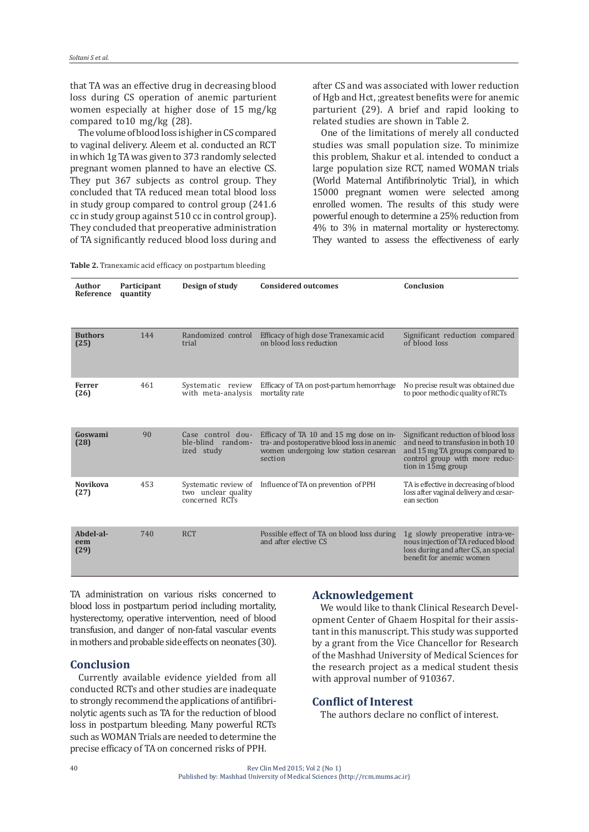that TA was an effective drug in decreasing blood loss during CS operation of anemic parturient women especially at higher dose of 15 mg/kg compared to10 mg/kg (28).

The volume of blood loss is higher in CS compared to vaginal delivery. Aleem et al. conducted an RCT in which 1g TA was given to 373 randomly selected pregnant women planned to have an elective CS. They put 367 subjects as control group. They concluded that TA reduced mean total blood loss in study group compared to control group (241.6 cc in study group against 510 cc in control group). They concluded that preoperative administration of TA significantly reduced blood loss during and after CS and was associated with lower reduction of Hgb and Hct, ;greatest benefits were for anemic parturient (29). A brief and rapid looking to related studies are shown in Table 2.

One of the limitations of merely all conducted studies was small population size. To minimize this problem, Shakur et al. intended to conduct a large population size RCT, named WOMAN trials (World Maternal Antifibrinolytic Trial), in which 15000 pregnant women were selected among enrolled women. The results of this study were powerful enough to determine a 25% reduction from 4% to 3% in maternal mortality or hysterectomy. They wanted to assess the effectiveness of early

**Table 2.** Tranexamic acid efficacy on postpartum bleeding

| Author<br>Reference      | Participant<br>quantity | Design of study                                               | <b>Considered outcomes</b>                                                                                                                 | Conclusion                                                                                                                                                           |
|--------------------------|-------------------------|---------------------------------------------------------------|--------------------------------------------------------------------------------------------------------------------------------------------|----------------------------------------------------------------------------------------------------------------------------------------------------------------------|
| <b>Buthors</b><br>(25)   | 144                     | Randomized control<br>trial                                   | Efficacy of high dose Tranexamic acid<br>on blood loss reduction                                                                           | Significant reduction compared<br>of blood loss                                                                                                                      |
| Ferrer<br>(26)           | 461                     | Systematic review<br>with meta-analysis                       | Efficacy of TA on post-partum hemorrhage<br>mortality rate                                                                                 | No precise result was obtained due<br>to poor methodic quality of RCTs                                                                                               |
| Goswami<br>(28)          | 90                      | Case control dou-<br>ble-blind random-<br>ized study          | Efficacy of TA 10 and 15 mg dose on in-<br>tra- and postoperative blood loss in anemic<br>women undergoing low station cesarean<br>section | Significant reduction of blood loss<br>and need to transfusion in both 10<br>and 15 mg TA groups compared to<br>control group with more reduc-<br>tion in 15mg group |
| <b>Novikova</b><br>(27)  | 453                     | Systematic review of<br>two unclear quality<br>concerned RCTs | Influence of TA on prevention of PPH                                                                                                       | TA is effective in decreasing of blood<br>loss after vaginal delivery and cesar-<br>ean section                                                                      |
| Abdel-al-<br>eem<br>(29) | 740                     | <b>RCT</b>                                                    | Possible effect of TA on blood loss during<br>and after elective CS                                                                        | 1g slowly preoperative intra-ve-<br>nous injection of TA reduced blood<br>loss during and after CS, an special<br>benefit for anemic women                           |

TA administration on various risks concerned to blood loss in postpartum period including mortality, hysterectomy, operative intervention, need of blood transfusion, and danger of non-fatal vascular events in mothers and probable side effects on neonates (30).

## **Conclusion**

Currently available evidence yielded from all conducted RCTs and other studies are inadequate to strongly recommend the applications of antifibrinolytic agents such as TA for the reduction of blood loss in postpartum bleeding. Many powerful RCTs such as WOMAN Trials are needed to determine the precise efficacy of TA on concerned risks of PPH.

## **Acknowledgement**

We would like to thank Clinical Research Development Center of Ghaem Hospital for their assistant in this manuscript. This study was supported by a grant from the Vice Chancellor for Research of the Mashhad University of Medical Sciences for the research project as a medical student thesis with approval number of 910367.

## **Conflict of Interest**

The authors declare no conflict of interest.